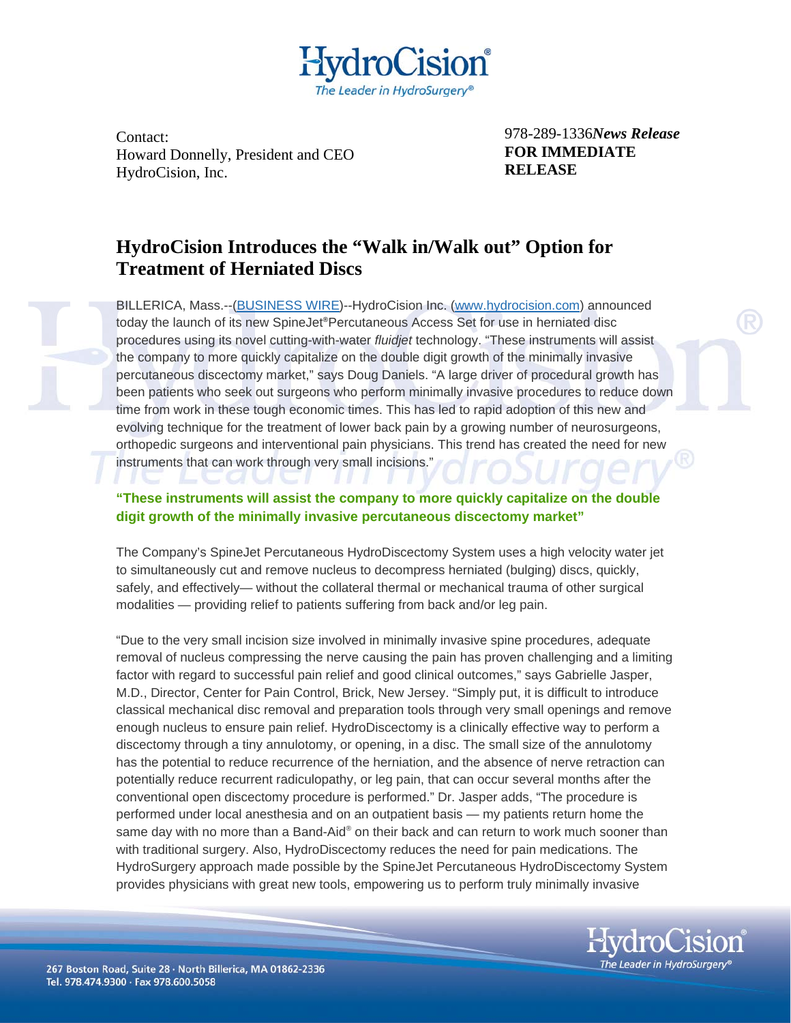

Contact: Howard Donnelly, President and CEO HydroCision, Inc.

978-289-1336*News Release*  **FOR IMMEDIATE RELEASE**

## **HydroCision Introduces the "Walk in/Walk out" Option for Treatment of Herniated Discs**

BILLERICA, Mass.--[\(BUSINESS WIRE\)](http://www.businesswire.com/)--HydroCision Inc. [\(www.hydrocision.com\)](http://cts.businesswire.com/ct/CT?id=smartlink&url=http%3A%2F%2Fwww.hydrocision.com&esheet=5987209&lan=en_US&anchor=www.hydrocision.com&index=1) announced today the launch of its new SpineJet**®**Percutaneous Access Set for use in herniated disc procedures using its novel cutting-with-water *fluidjet* technology. "These instruments will assist the company to more quickly capitalize on the double digit growth of the minimally invasive percutaneous discectomy market," says Doug Daniels. "A large driver of procedural growth has been patients who seek out surgeons who perform minimally invasive procedures to reduce down time from work in these tough economic times. This has led to rapid adoption of this new and evolving technique for the treatment of lower back pain by a growing number of neurosurgeons, orthopedic surgeons and interventional pain physicians. This trend has created the need for new instruments that can work through very small incisions."

## **"These instruments will assist the company to more quickly capitalize on the double digit growth of the minimally invasive percutaneous discectomy market"**

The Company's SpineJet Percutaneous HydroDiscectomy System uses a high velocity water jet to simultaneously cut and remove nucleus to decompress herniated (bulging) discs, quickly, safely, and effectively— without the collateral thermal or mechanical trauma of other surgical modalities — providing relief to patients suffering from back and/or leg pain.

"Due to the very small incision size involved in minimally invasive spine procedures, adequate removal of nucleus compressing the nerve causing the pain has proven challenging and a limiting factor with regard to successful pain relief and good clinical outcomes," says Gabrielle Jasper, M.D., Director, Center for Pain Control, Brick, New Jersey. "Simply put, it is difficult to introduce classical mechanical disc removal and preparation tools through very small openings and remove enough nucleus to ensure pain relief. HydroDiscectomy is a clinically effective way to perform a discectomy through a tiny annulotomy, or opening, in a disc. The small size of the annulotomy has the potential to reduce recurrence of the herniation, and the absence of nerve retraction can potentially reduce recurrent radiculopathy, or leg pain, that can occur several months after the conventional open discectomy procedure is performed." Dr. Jasper adds, "The procedure is performed under local anesthesia and on an outpatient basis — my patients return home the same day with no more than a Band-Aid® on their back and can return to work much sooner than with traditional surgery. Also, HydroDiscectomy reduces the need for pain medications. The HydroSurgery approach made possible by the SpineJet Percutaneous HydroDiscectomy System provides physicians with great new tools, empowering us to perform truly minimally invasive